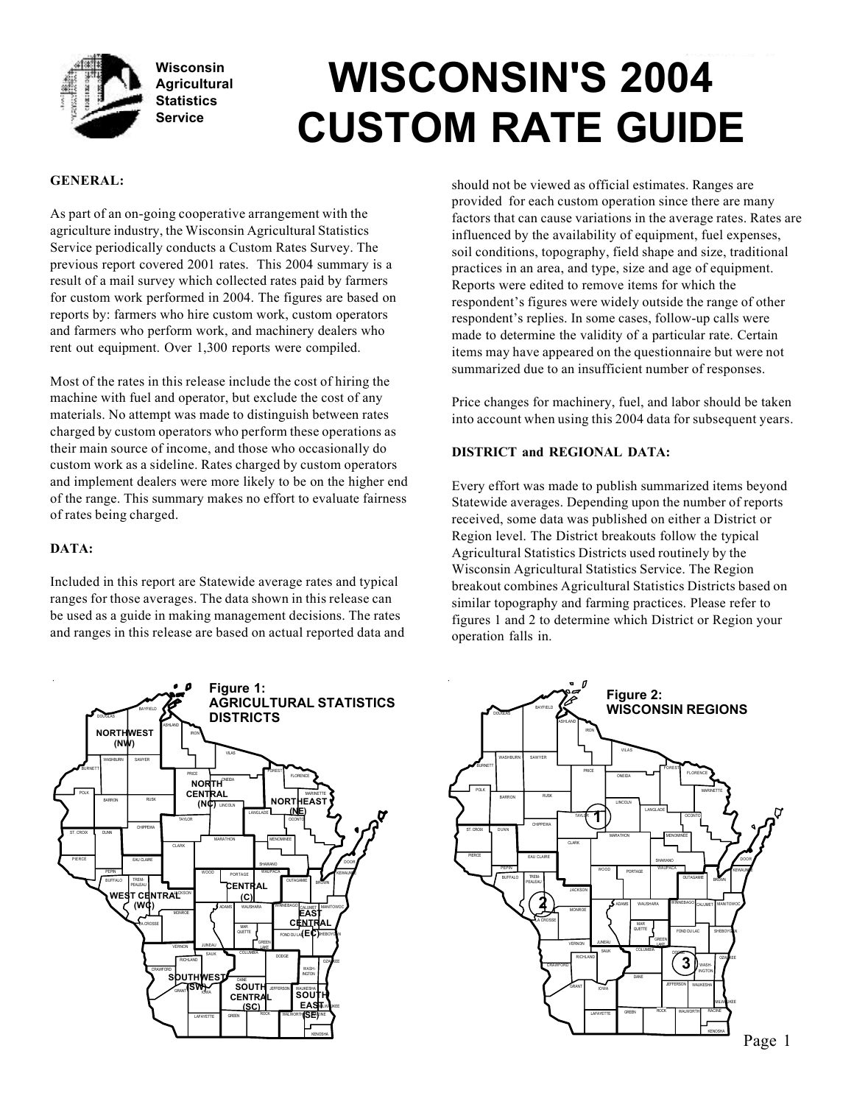

# **WISCONSIN'S 2004 CUSTOM RATE GUIDE**

## **GENERAL:**

As part of an on-going cooperative arrangement with the agriculture industry, the Wisconsin Agricultural Statistics Service periodically conducts a Custom Rates Survey. The previous report covered 2001 rates. This 2004 summary is a result of a mail survey which collected rates paid by farmers for custom work performed in 2004. The figures are based on reports by: farmers who hire custom work, custom operators and farmers who perform work, and machinery dealers who rent out equipment. Over 1,300 reports were compiled.

Most of the rates in this release include the cost of hiring the machine with fuel and operator, but exclude the cost of any materials. No attempt was made to distinguish between rates charged by custom operators who perform these operations as their main source of income, and those who occasionally do custom work as a sideline. Rates charged by custom operators and implement dealers were more likely to be on the higher end of the range. This summary makes no effort to evaluate fairness of rates being charged.

## **DATA:**

Included in this report are Statewide average rates and typical ranges for those averages. The data shown in this release can be used as a guide in making management decisions. The rates and ranges in this release are based on actual reported data and



should not be viewed as official estimates. Ranges are provided for each custom operation since there are many factors that can cause variations in the average rates. Rates are influenced by the availability of equipment, fuel expenses, soil conditions, topography, field shape and size, traditional practices in an area, and type, size and age of equipment. Reports were edited to remove items for which the respondent's figures were widely outside the range of other respondent's replies. In some cases, follow-up calls were made to determine the validity of a particular rate. Certain items may have appeared on the questionnaire but were not summarized due to an insufficient number of responses.

Price changes for machinery, fuel, and labor should be taken into account when using this 2004 data for subsequent years.

## **DISTRICT and REGIONAL DATA:**

Every effort was made to publish summarized items beyond Statewide averages. Depending upon the number of reports received, some data was published on either a District or Region level. The District breakouts follow the typical Agricultural Statistics Districts used routinely by the Wisconsin Agricultural Statistics Service. The Region breakout combines Agricultural Statistics Districts based on similar topography and farming practices. Please refer to figures 1 and 2 to determine which District or Region your operation falls in.

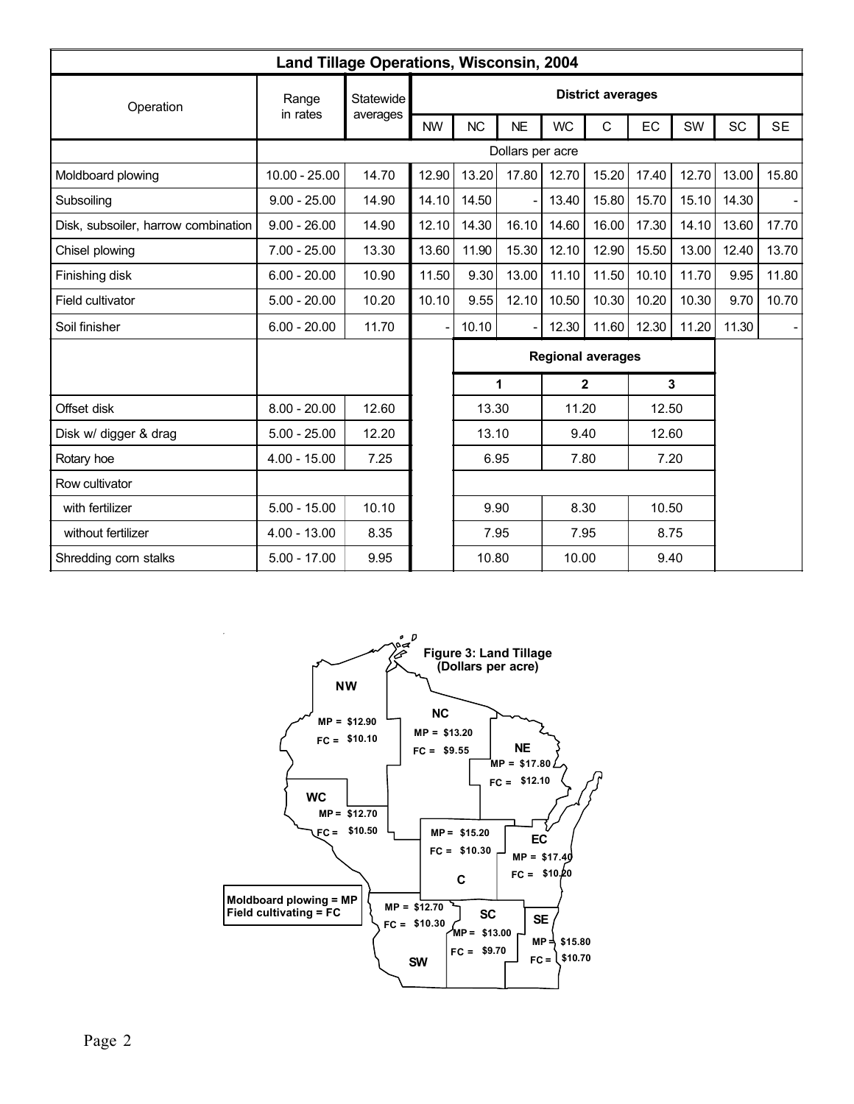|                                     | Land Tillage Operations, Wisconsin, 2004 |           |           |                          |           |           |                          |       |       |           |                          |
|-------------------------------------|------------------------------------------|-----------|-----------|--------------------------|-----------|-----------|--------------------------|-------|-------|-----------|--------------------------|
| Operation                           | Range                                    | Statewide |           |                          |           |           | <b>District averages</b> |       |       |           |                          |
|                                     | in rates                                 | averages  | <b>NW</b> | <b>NC</b>                | <b>NE</b> | <b>WC</b> | C                        | EC    | SW    | <b>SC</b> | <b>SE</b>                |
|                                     |                                          |           |           | Dollars per acre         |           |           |                          |       |       |           |                          |
| Moldboard plowing                   | $10.00 - 25.00$                          | 14.70     | 12.90     | 13.20                    | 17.80     | 12.70     | 15.20                    | 17.40 | 12.70 | 13.00     | 15.80                    |
| Subsoiling                          | $9.00 - 25.00$                           | 14.90     | 14.10     | 14.50                    |           | 13.40     | 15.80                    | 15.70 | 15.10 | 14.30     |                          |
| Disk, subsoiler, harrow combination | $9.00 - 26.00$                           | 14.90     | 12.10     | 14.30                    | 16.10     | 14.60     | 16.00                    | 17.30 | 14.10 | 13.60     | 17.70                    |
| Chisel plowing                      | $7.00 - 25.00$                           | 13.30     | 13.60     | 11.90                    | 15.30     | 12.10     | 12.90                    | 15.50 | 13.00 | 12.40     | 13.70                    |
| Finishing disk                      | $6.00 - 20.00$                           | 10.90     | 11.50     | 9.30                     | 13.00     | 11.10     | 11.50                    | 10.10 | 11.70 | 9.95      | 11.80                    |
| Field cultivator                    | $5.00 - 20.00$                           | 10.20     | 10.10     | 9.55                     | 12.10     | 10.50     | 10.30                    | 10.20 | 10.30 | 9.70      | 10.70                    |
| Soil finisher                       | $6.00 - 20.00$                           | 11.70     |           | 10.10                    |           | 12.30     | 11.60                    | 12.30 | 11.20 | 11.30     | $\overline{\phantom{a}}$ |
|                                     |                                          |           |           | <b>Regional averages</b> |           |           |                          |       |       |           |                          |
|                                     |                                          |           |           |                          | 1         |           | $\overline{2}$           |       | 3     |           |                          |
| Offset disk                         | $8.00 - 20.00$                           | 12.60     |           | 13.30                    |           | 11.20     |                          | 12.50 |       |           |                          |
| Disk w/ digger & drag               | $5.00 - 25.00$                           | 12.20     |           | 13.10                    |           | 9.40      |                          | 12.60 |       |           |                          |
| Rotary hoe                          | $4.00 - 15.00$                           | 7.25      |           | 6.95                     |           | 7.80      |                          | 7.20  |       |           |                          |
| Row cultivator                      |                                          |           |           |                          |           |           |                          |       |       |           |                          |
| with fertilizer                     | $5.00 - 15.00$                           | 10.10     |           | 9.90                     |           | 8.30      |                          | 10.50 |       |           |                          |
| without fertilizer                  | $4.00 - 13.00$                           | 8.35      |           | 7.95                     |           | 7.95      |                          | 8.75  |       |           |                          |
| Shredding corn stalks               | $5.00 - 17.00$                           | 9.95      |           | 10.80                    |           | 10.00     |                          | 9.40  |       |           |                          |

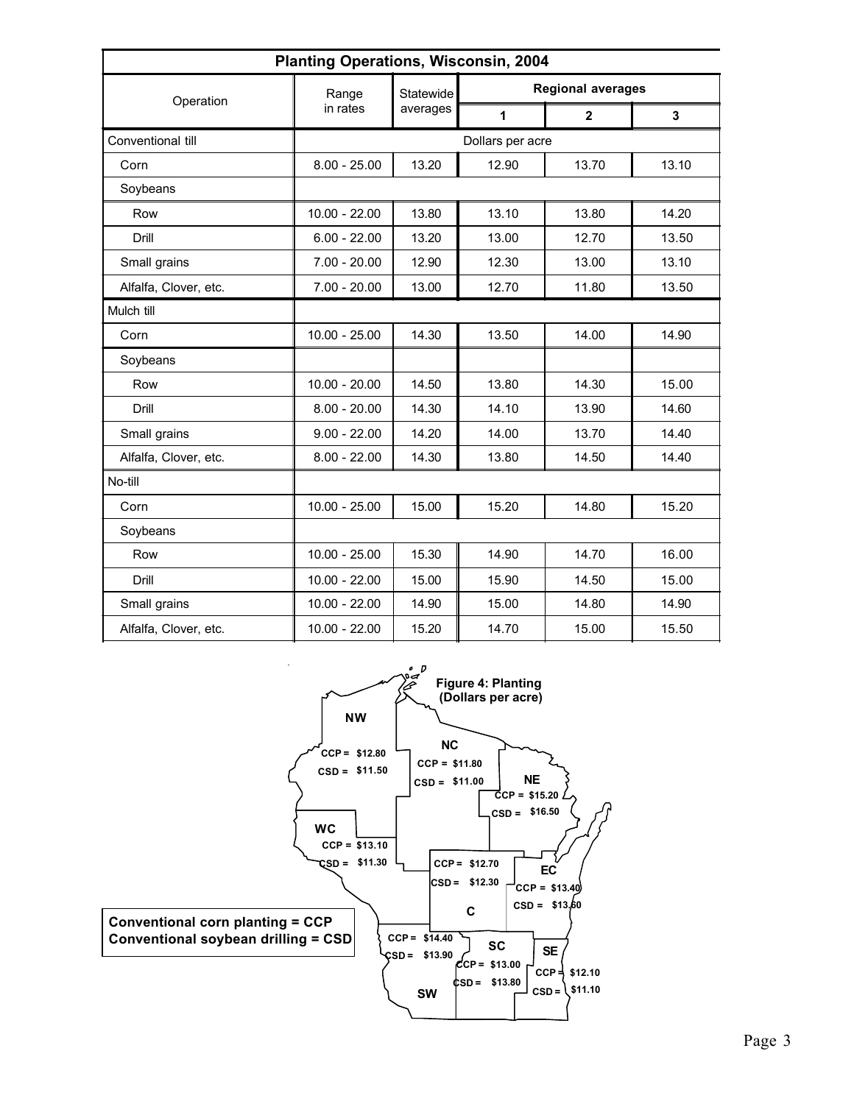|                       | <b>Planting Operations, Wisconsin, 2004</b> |           |                  |                          |       |
|-----------------------|---------------------------------------------|-----------|------------------|--------------------------|-------|
| Operation             | Range                                       | Statewide |                  | <b>Regional averages</b> |       |
|                       | in rates                                    | averages  | 1                | $\overline{2}$           | 3     |
| Conventional till     |                                             |           | Dollars per acre |                          |       |
| Corn                  | $8.00 - 25.00$                              | 13.20     | 12.90            | 13.70                    | 13.10 |
| Soybeans              |                                             |           |                  |                          |       |
| Row                   | $10.00 - 22.00$                             | 13.80     | 13.10            | 13.80                    | 14.20 |
| Drill                 | $6.00 - 22.00$                              | 13.20     | 13.00            | 12.70                    | 13.50 |
| Small grains          | $7.00 - 20.00$                              | 12.90     | 12.30            | 13.00                    | 13.10 |
| Alfalfa, Clover, etc. | $7.00 - 20.00$                              | 13.00     | 12.70            | 11.80                    | 13.50 |
| Mulch till            |                                             |           |                  |                          |       |
| Corn                  | $10.00 - 25.00$                             | 14.30     | 13.50            | 14.00                    | 14.90 |
| Soybeans              |                                             |           |                  |                          |       |
| Row                   | $10.00 - 20.00$                             | 14.50     | 13.80            | 14.30                    | 15.00 |
| Drill                 | $8.00 - 20.00$                              | 14.30     | 14.10            | 13.90                    | 14.60 |
| Small grains          | $9.00 - 22.00$                              | 14.20     | 14.00            | 13.70                    | 14.40 |
| Alfalfa, Clover, etc. | $8.00 - 22.00$                              | 14.30     | 13.80            | 14.50                    | 14.40 |
| No-till               |                                             |           |                  |                          |       |
| Corn                  | $10.00 - 25.00$                             | 15.00     | 15.20            | 14.80                    | 15.20 |
| Soybeans              |                                             |           |                  |                          |       |
| Row                   | $10.00 - 25.00$                             | 15.30     | 14.90            | 14.70                    | 16.00 |
| Drill                 | $10.00 - 22.00$                             | 15.00     | 15.90            | 14.50                    | 15.00 |
| Small grains          | $10.00 - 22.00$                             | 14.90     | 15.00            | 14.80                    | 14.90 |
| Alfalfa, Clover, etc. | $10.00 - 22.00$                             | 15.20     | 14.70            | 15.00                    | 15.50 |

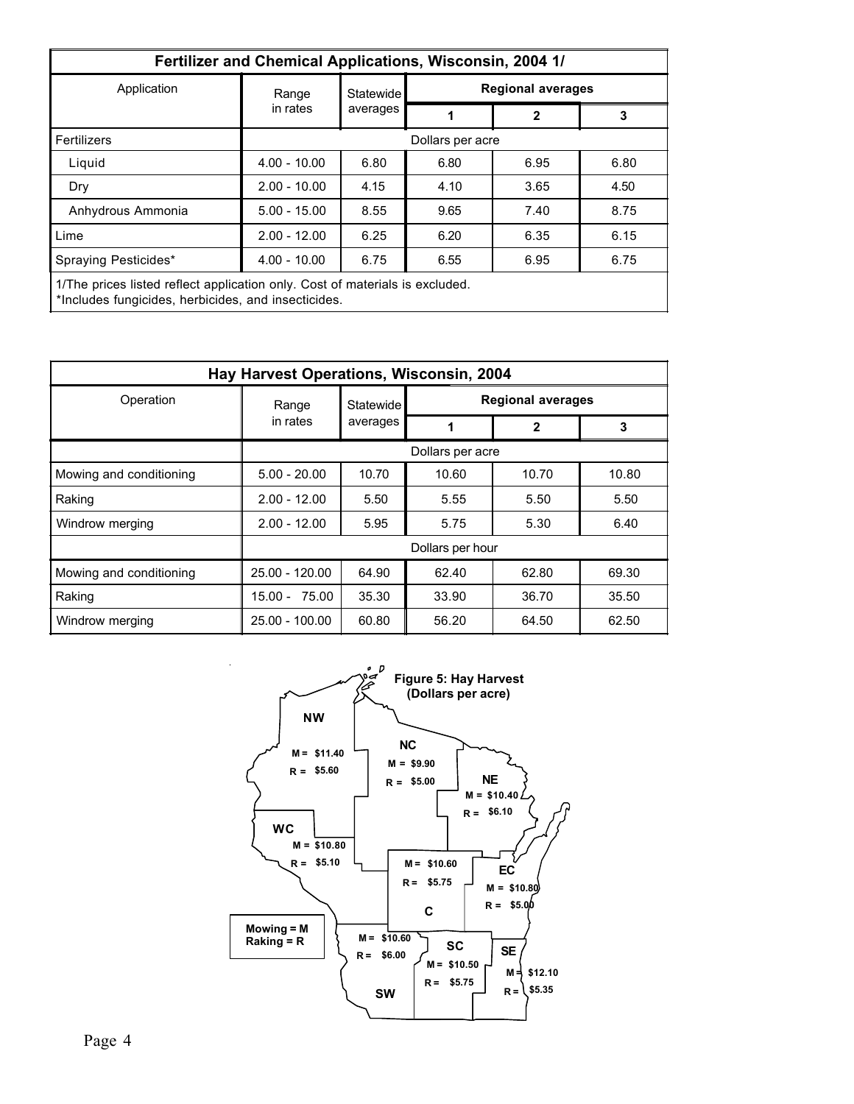|                                                                                                                                     | Fertilizer and Chemical Applications, Wisconsin, 2004 1/ |                              |                  |                          |      |  |  |  |  |
|-------------------------------------------------------------------------------------------------------------------------------------|----------------------------------------------------------|------------------------------|------------------|--------------------------|------|--|--|--|--|
| Application                                                                                                                         | Range                                                    | Statewide                    |                  | <b>Regional averages</b> |      |  |  |  |  |
|                                                                                                                                     | in rates                                                 | averages                     |                  | 2                        | 3    |  |  |  |  |
| Fertilizers                                                                                                                         |                                                          |                              | Dollars per acre |                          |      |  |  |  |  |
| Liquid                                                                                                                              | $4.00 - 10.00$                                           | 6.80<br>6.80<br>6.95<br>6.80 |                  |                          |      |  |  |  |  |
| Dry                                                                                                                                 | $2.00 - 10.00$                                           | 4.15                         | 4.10             | 3.65                     | 4.50 |  |  |  |  |
| Anhydrous Ammonia                                                                                                                   | $5.00 - 15.00$                                           | 8.55                         | 9.65             | 7.40                     | 8.75 |  |  |  |  |
| Lime                                                                                                                                | $2.00 - 12.00$                                           | 6.25                         | 6.20             | 6.35                     | 6.15 |  |  |  |  |
| $4.00 - 10.00$<br>Spraying Pesticides*<br>6.75<br>6.95<br>6.55<br>6.75                                                              |                                                          |                              |                  |                          |      |  |  |  |  |
| 1/The prices listed reflect application only. Cost of materials is excluded.<br>*Includes fungicides, herbicides, and insecticides. |                                                          |                              |                  |                          |      |  |  |  |  |

|                         | Hay Harvest Operations, Wisconsin, 2004 |                  |                          |       |       |  |  |  |
|-------------------------|-----------------------------------------|------------------|--------------------------|-------|-------|--|--|--|
| Operation               | Range                                   | <b>Statewide</b> | <b>Regional averages</b> |       |       |  |  |  |
|                         | in rates                                | averages         | 1                        | 2     | 3     |  |  |  |
|                         |                                         |                  | Dollars per acre         |       |       |  |  |  |
| Mowing and conditioning | $5.00 - 20.00$                          | 10.70            | 10.60                    | 10.70 | 10.80 |  |  |  |
| Raking                  | $2.00 - 12.00$                          | 5.50             | 5.55                     | 5.50  | 5.50  |  |  |  |
| Windrow merging         | $2.00 - 12.00$                          | 5.95             | 5.75                     | 5.30  | 6.40  |  |  |  |
|                         |                                         |                  | Dollars per hour         |       |       |  |  |  |
| Mowing and conditioning | $25.00 - 120.00$                        | 64.90            | 62.40                    | 62.80 | 69.30 |  |  |  |
| Raking                  | 75.00<br>$15.00 -$                      | 35.30            | 33.90                    | 36.70 | 35.50 |  |  |  |
| Windrow merging         | $25.00 - 100.00$                        | 60.80            | 56.20                    | 64.50 | 62.50 |  |  |  |

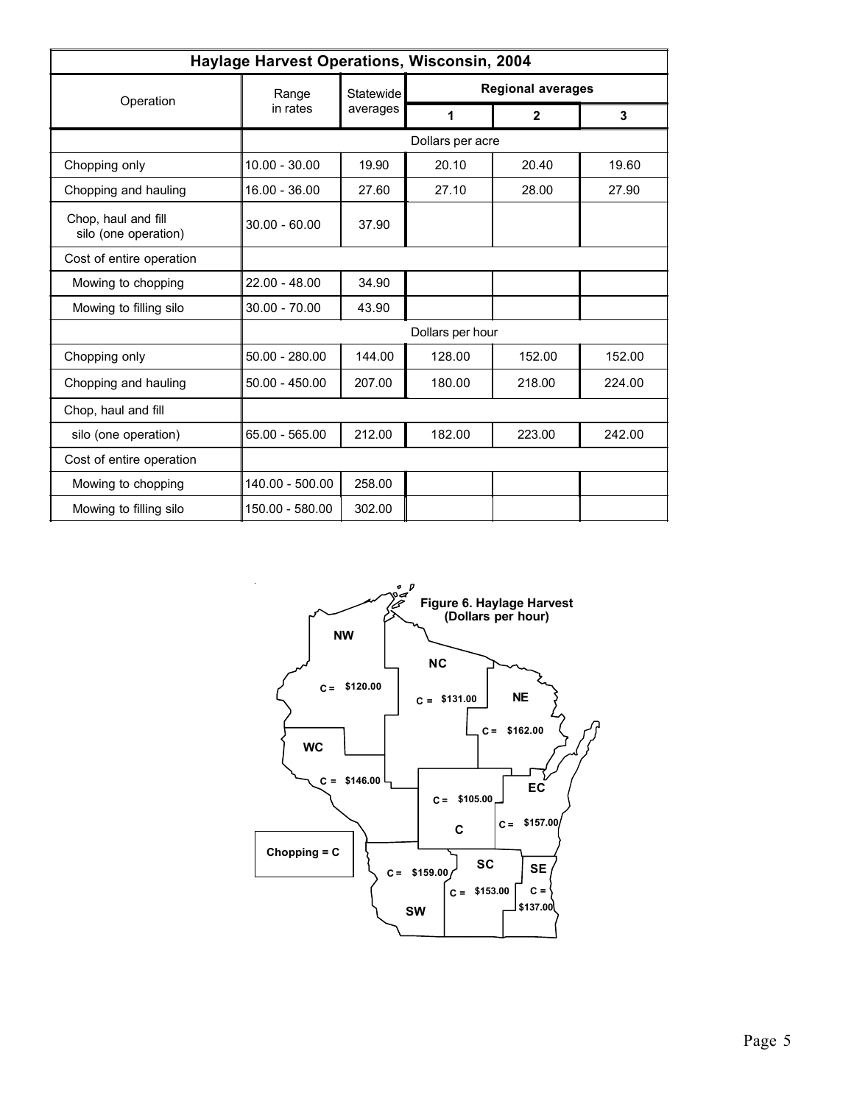|                                             | Haylage Harvest Operations, Wisconsin, 2004 |           |                  |                          |              |
|---------------------------------------------|---------------------------------------------|-----------|------------------|--------------------------|--------------|
|                                             | Range                                       | Statewide |                  | <b>Regional averages</b> |              |
| Operation                                   | in rates                                    | averages  | 1                | $\mathbf{2}$             | $\mathbf{3}$ |
|                                             |                                             |           | Dollars per acre |                          |              |
| Chopping only                               | $10.00 - 30.00$                             | 19.90     | 20.10            | 20.40                    | 19.60        |
| Chopping and hauling                        | $16.00 - 36.00$                             | 27.60     | 27.10            | 28.00                    | 27.90        |
| Chop, haul and fill<br>silo (one operation) | $30.00 - 60.00$                             | 37.90     |                  |                          |              |
| Cost of entire operation                    |                                             |           |                  |                          |              |
| Mowing to chopping                          | $22.00 - 48.00$                             | 34.90     |                  |                          |              |
| Mowing to filling silo                      | 30.00 - 70.00                               | 43.90     |                  |                          |              |
|                                             |                                             |           | Dollars per hour |                          |              |
| Chopping only                               | $50.00 - 280.00$                            | 144.00    | 128.00           | 152.00                   | 152.00       |
| Chopping and hauling                        | $50.00 - 450.00$                            | 207.00    | 180.00           | 218.00                   | 224.00       |
| Chop, haul and fill                         |                                             |           |                  |                          |              |
| silo (one operation)                        | 65.00 - 565.00                              | 212.00    | 182.00           | 223.00                   | 242.00       |
| Cost of entire operation                    |                                             |           |                  |                          |              |
| Mowing to chopping                          | 140.00 - 500.00                             | 258.00    |                  |                          |              |
| Mowing to filling silo                      | 150.00 - 580.00                             | 302.00    |                  |                          |              |

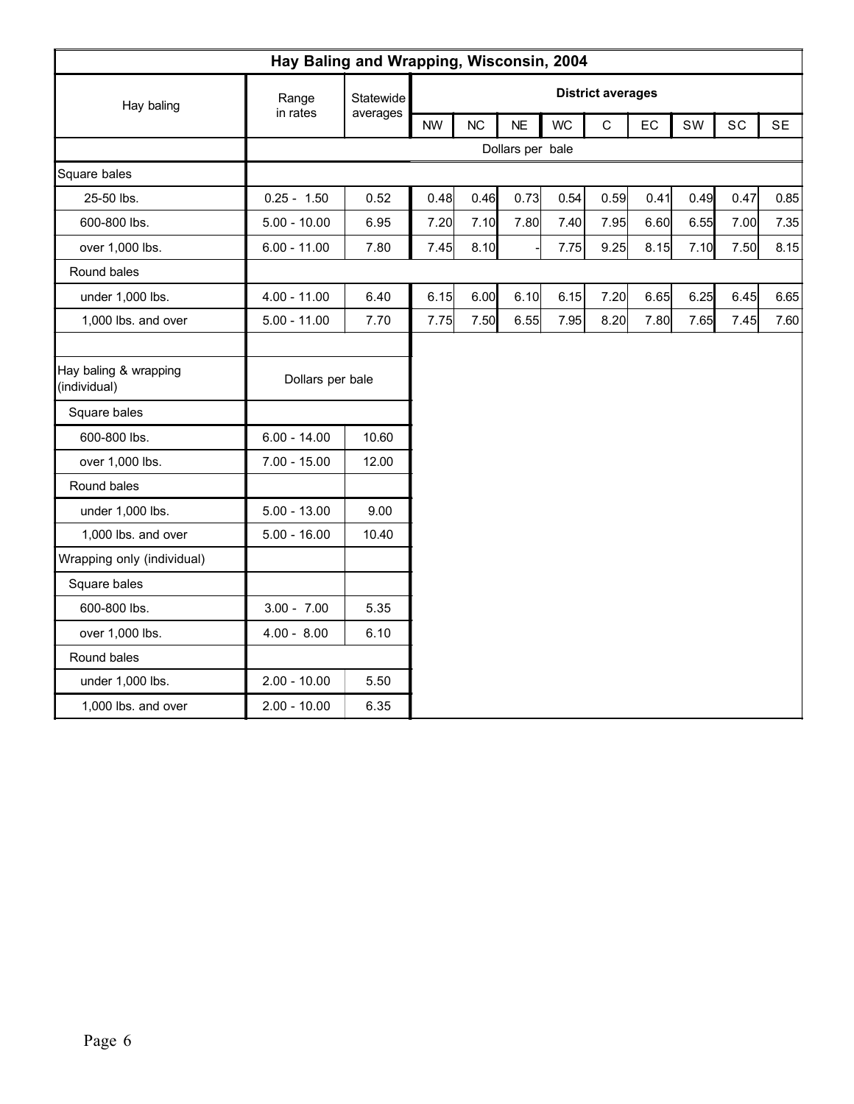|                                       | Hay Baling and Wrapping, Wisconsin, 2004 |           |           |           |                  |           |                          |      |      |      |      |
|---------------------------------------|------------------------------------------|-----------|-----------|-----------|------------------|-----------|--------------------------|------|------|------|------|
| Hay baling                            | Range                                    | Statewide |           |           |                  |           | <b>District averages</b> |      |      |      |      |
|                                       | in rates                                 | averages  | <b>NW</b> | <b>NC</b> | <b>NE</b>        | <b>WC</b> | $\mathsf C$              | EC   | SW   | SC   | SE   |
|                                       |                                          |           |           |           | Dollars per bale |           |                          |      |      |      |      |
| Square bales                          |                                          |           |           |           |                  |           |                          |      |      |      |      |
| 25-50 lbs.                            | $0.25 - 1.50$                            | 0.52      | 0.48      | 0.46      | 0.73             | 0.54      | 0.59                     | 0.41 | 0.49 | 0.47 | 0.85 |
| 600-800 lbs.                          | $5.00 - 10.00$                           | 6.95      | 7.20      | 7.10      | 7.80             | 7.40      | 7.95                     | 6.60 | 6.55 | 7.00 | 7.35 |
| over 1,000 lbs.                       | $6.00 - 11.00$                           | 7.80      | 7.45      | 8.10      |                  | 7.75      | 9.25                     | 8.15 | 7.10 | 7.50 | 8.15 |
| Round bales                           |                                          |           |           |           |                  |           |                          |      |      |      |      |
| under 1,000 lbs.                      | $4.00 - 11.00$                           | 6.40      | 6.15      | 6.00      | 6.10             | 6.15      | 7.20                     | 6.65 | 6.25 | 6.45 | 6.65 |
| 1,000 lbs. and over                   | $5.00 - 11.00$                           | 7.70      | 7.75      | 7.50      | 6.55             | 7.95      | 8.20                     | 7.80 | 7.65 | 7.45 | 7.60 |
|                                       |                                          |           |           |           |                  |           |                          |      |      |      |      |
| Hay baling & wrapping<br>(individual) | Dollars per bale                         |           |           |           |                  |           |                          |      |      |      |      |
| Square bales                          |                                          |           |           |           |                  |           |                          |      |      |      |      |
| 600-800 lbs.                          | $6.00 - 14.00$                           | 10.60     |           |           |                  |           |                          |      |      |      |      |
| over 1,000 lbs.                       | $7.00 - 15.00$                           | 12.00     |           |           |                  |           |                          |      |      |      |      |
| Round bales                           |                                          |           |           |           |                  |           |                          |      |      |      |      |
| under 1,000 lbs.                      | $5.00 - 13.00$                           | 9.00      |           |           |                  |           |                          |      |      |      |      |
| 1,000 lbs. and over                   | $5.00 - 16.00$                           | 10.40     |           |           |                  |           |                          |      |      |      |      |
| Wrapping only (individual)            |                                          |           |           |           |                  |           |                          |      |      |      |      |
| Square bales                          |                                          |           |           |           |                  |           |                          |      |      |      |      |
| 600-800 lbs.                          | $3.00 - 7.00$                            | 5.35      |           |           |                  |           |                          |      |      |      |      |
| over 1,000 lbs.                       | $4.00 - 8.00$                            | 6.10      |           |           |                  |           |                          |      |      |      |      |
| Round bales                           |                                          |           |           |           |                  |           |                          |      |      |      |      |
| under 1,000 lbs.                      | $2.00 - 10.00$                           | 5.50      |           |           |                  |           |                          |      |      |      |      |
| 1,000 lbs. and over                   | $2.00 - 10.00$                           | 6.35      |           |           |                  |           |                          |      |      |      |      |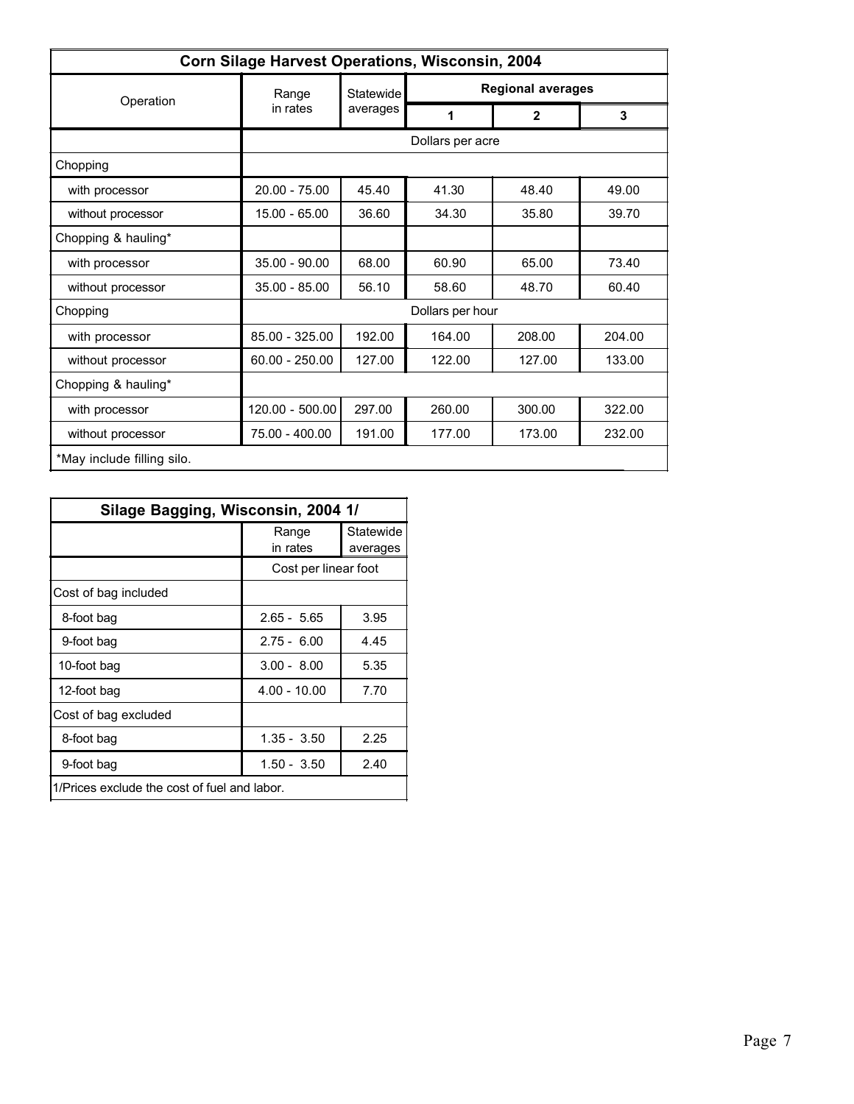|                            | Corn Silage Harvest Operations, Wisconsin, 2004 |           |                  |                          |        |
|----------------------------|-------------------------------------------------|-----------|------------------|--------------------------|--------|
|                            | Range                                           | Statewide |                  | <b>Regional averages</b> |        |
| Operation                  | in rates                                        | averages  | 1                | $\mathbf{2}$             | 3      |
|                            |                                                 |           | Dollars per acre |                          |        |
| Chopping                   |                                                 |           |                  |                          |        |
| with processor             | $20.00 - 75.00$                                 | 45.40     | 41.30            | 48.40                    | 49.00  |
| without processor          | 15.00 - 65.00                                   | 36.60     | 34.30            | 35.80                    | 39.70  |
| Chopping & hauling*        |                                                 |           |                  |                          |        |
| with processor             | $35.00 - 90.00$                                 | 68.00     | 60.90            | 65.00                    | 73.40  |
| without processor          | $35.00 - 85.00$                                 | 56.10     | 58.60            | 48.70                    | 60.40  |
| Chopping                   |                                                 |           | Dollars per hour |                          |        |
| with processor             | 85.00 - 325.00                                  | 192.00    | 164.00           | 208.00                   | 204.00 |
| without processor          | $60.00 - 250.00$                                | 127.00    | 122.00           | 127.00                   | 133.00 |
| Chopping & hauling*        |                                                 |           |                  |                          |        |
| with processor             | 120.00 - 500.00                                 | 297.00    | 260.00           | 300.00                   | 322.00 |
| without processor          | 75.00 - 400.00                                  | 191.00    | 177.00           | 173.00                   | 232.00 |
| *May include filling silo. |                                                 |           |                  |                          |        |

| Silage Bagging, Wisconsin, 2004 1/           |                      |                       |
|----------------------------------------------|----------------------|-----------------------|
|                                              | Range<br>in rates    | Statewide<br>averages |
|                                              | Cost per linear foot |                       |
| Cost of bag included                         |                      |                       |
| 8-foot bag                                   | $2.65 - 5.65$        | 3.95                  |
| 9-foot bag                                   | $2.75 - 6.00$        | 4.45                  |
| 10-foot bag                                  | $3.00 - 8.00$        | 5.35                  |
| 12-foot bag                                  | $4.00 - 10.00$       | 7.70                  |
| Cost of bag excluded                         |                      |                       |
| 8-foot bag                                   | $1.35 - 3.50$        | 2.25                  |
| 9-foot bag                                   | $1.50 - 3.50$        | 2.40                  |
| 1/Prices exclude the cost of fuel and labor. |                      |                       |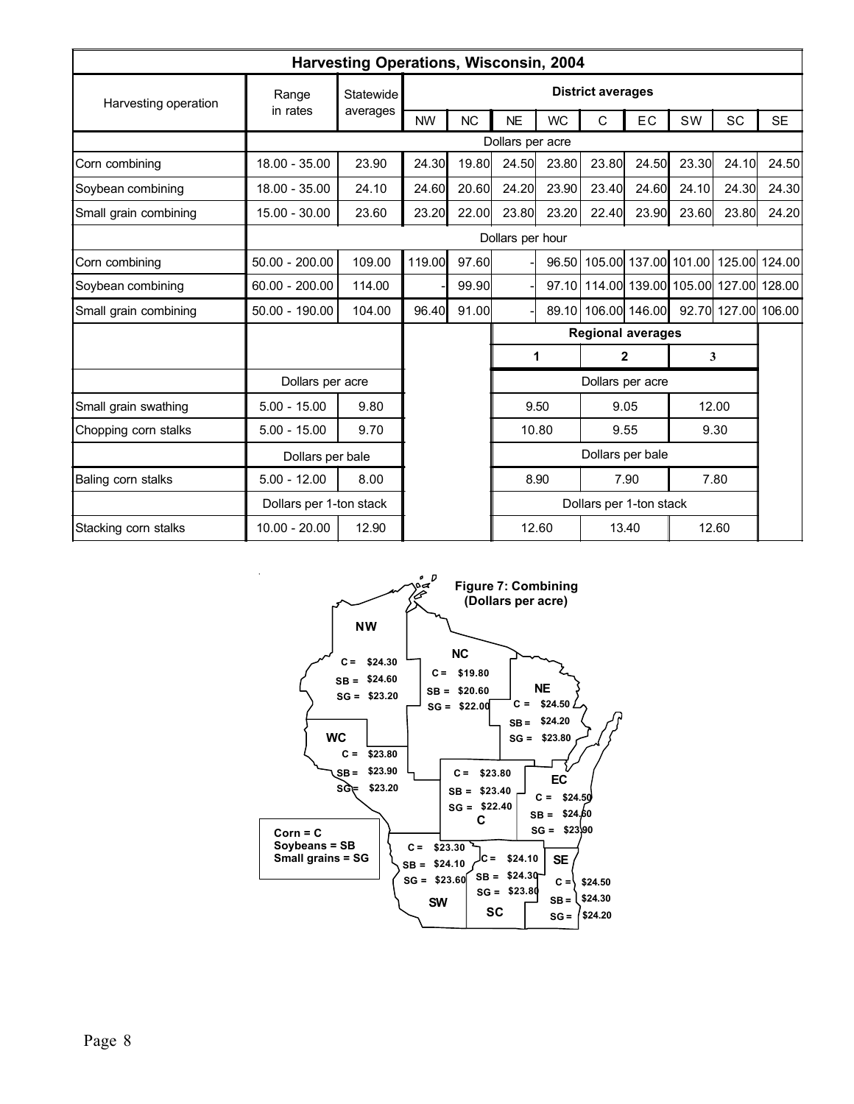|                       |                         | <b>Harvesting Operations, Wisconsin, 2004</b> |           |                  |                         |           |                          |                  |                                          |       |               |
|-----------------------|-------------------------|-----------------------------------------------|-----------|------------------|-------------------------|-----------|--------------------------|------------------|------------------------------------------|-------|---------------|
| Harvesting operation  | Range                   | Statewide                                     |           |                  |                         |           | <b>District averages</b> |                  |                                          |       |               |
|                       | in rates                | averages                                      | <b>NW</b> | <b>NC</b>        | <b>NE</b>               | <b>WC</b> | С                        | EC               | SW                                       | SC    | <b>SE</b>     |
|                       |                         |                                               |           |                  | Dollars per acre        |           |                          |                  |                                          |       |               |
| Corn combining        | $18.00 - 35.00$         | 23.90                                         | 24.30     | 19.80            | 24.50                   | 23.80     | 23.80                    | 24.50            | 23.30                                    | 24.10 | 24.50         |
| Soybean combining     | 18.00 - 35.00           | 24.10                                         | 24.60     | 20.60            | 24.20                   | 23.90     | 23.40                    | 24.60            | 24.10                                    | 24.30 | 24.30         |
| Small grain combining | $15.00 - 30.00$         | 23.60                                         | 23.20     | 22.00            | 23.80                   | 23.20     | 22.40                    | 23.90            | 23.60                                    | 23.80 | 24.20         |
|                       |                         |                                               |           | Dollars per hour |                         |           |                          |                  |                                          |       |               |
| Corn combining        | $50.00 - 200.00$        | 109.00                                        | 119.00    | 97.60            |                         | 96.50     |                          |                  | 105.00 137.00 101.00                     |       | 125.00 124.00 |
| Soybean combining     | $60.00 - 200.00$        | 114.00                                        |           | 99.90            |                         |           |                          |                  | 97.10 114.00 139.00 105.00 127.00 128.00 |       |               |
| Small grain combining | $50.00 - 190.00$        | 104.00                                        | 96.40     | 91.00            |                         |           |                          |                  | 89.10 106.00 146.00 92.70 127.00 106.00  |       |               |
|                       |                         |                                               |           |                  |                         |           | <b>Regional averages</b> |                  |                                          |       |               |
|                       |                         |                                               |           |                  |                         | 1         |                          | $\mathbf{2}$     |                                          | 3     |               |
|                       | Dollars per acre        |                                               |           |                  |                         |           |                          | Dollars per acre |                                          |       |               |
| Small grain swathing  | $5.00 - 15.00$          | 9.80                                          |           |                  |                         | 9.50      |                          | 9.05             |                                          | 12.00 |               |
| Chopping corn stalks  | $5.00 - 15.00$          | 9.70                                          |           |                  |                         | 10.80     |                          | 9.55             |                                          | 9.30  |               |
|                       | Dollars per bale        |                                               |           |                  | Dollars per bale        |           |                          |                  |                                          |       |               |
| Baling corn stalks    | $5.00 - 12.00$          | 8.00                                          |           |                  | 8.90                    |           | 7.90                     |                  | 7.80                                     |       |               |
|                       | Dollars per 1-ton stack |                                               |           |                  | Dollars per 1-ton stack |           |                          |                  |                                          |       |               |
| Stacking corn stalks  | $10.00 - 20.00$         | 12.90                                         |           |                  |                         | 12.60     |                          | 13.40            |                                          | 12.60 |               |

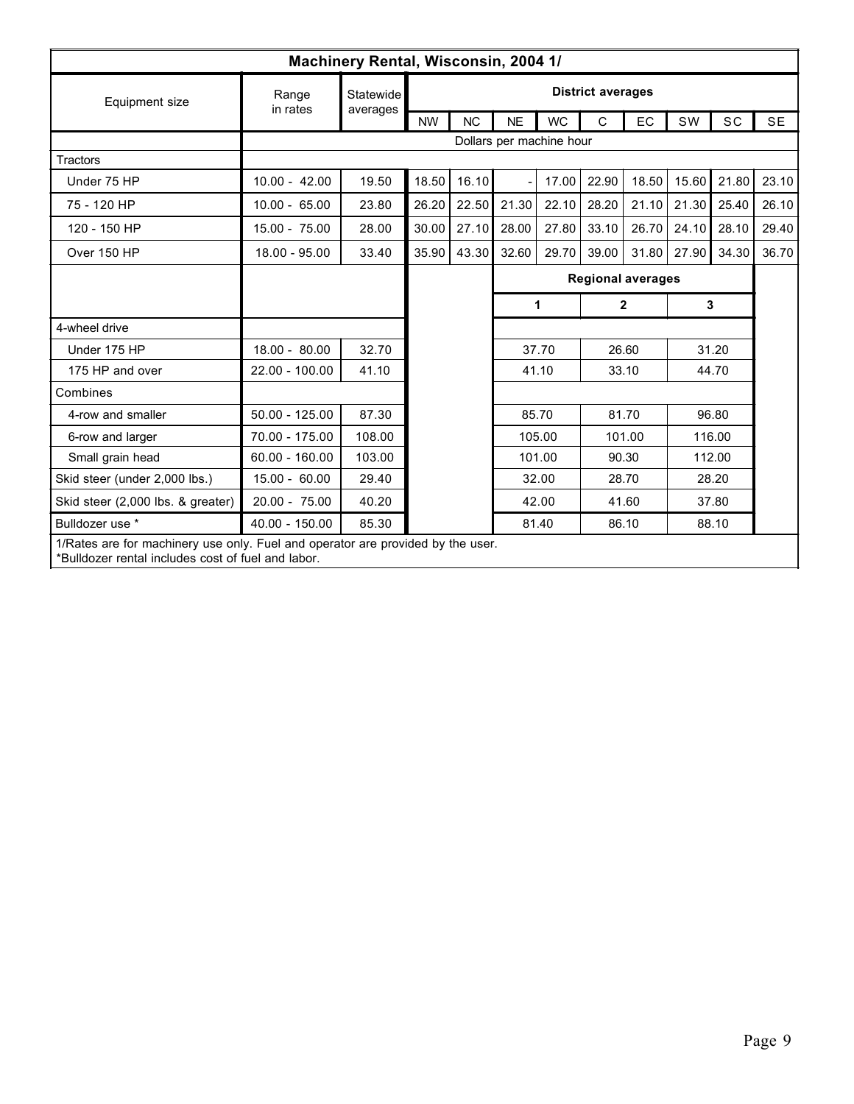|                                                                                                                                       |                   | Machinery Rental, Wisconsin, 2004 1/ |                          |           |                          |           |                          |        |             |        |           |
|---------------------------------------------------------------------------------------------------------------------------------------|-------------------|--------------------------------------|--------------------------|-----------|--------------------------|-----------|--------------------------|--------|-------------|--------|-----------|
| Equipment size                                                                                                                        | Range<br>in rates | Statewide<br>averages                |                          |           |                          |           | <b>District averages</b> |        |             |        |           |
|                                                                                                                                       |                   |                                      | <b>NW</b>                | <b>NC</b> | <b>NE</b>                | <b>WC</b> | $\mathsf{C}$             | EC     | SW          | SC     | <b>SE</b> |
|                                                                                                                                       |                   |                                      |                          |           | Dollars per machine hour |           |                          |        |             |        |           |
| <b>Tractors</b>                                                                                                                       |                   |                                      |                          |           |                          |           |                          |        |             |        |           |
| Under 75 HP                                                                                                                           | $10.00 - 42.00$   | 19.50                                | 18.50                    | 16.10     |                          | 17.00     | 22.90                    | 18.50  | 15.60       | 21.80  | 23.10     |
| 75 - 120 HP                                                                                                                           | $10.00 - 65.00$   | 23.80                                | 26.20                    | 22.50     | 21.30                    | 22.10     | 28.20                    |        | 21.10 21.30 | 25.40  | 26.10     |
| 120 - 150 HP                                                                                                                          | 15.00 - 75.00     | 28.00                                | 30.00                    | 27.10     | 28.00                    | 27.80     | 33.10                    | 26.70  | 24.10       | 28.10  | 29.40     |
| Over 150 HP                                                                                                                           | 18.00 - 95.00     | 33.40                                | 35.90                    | 43.30     | 32.60                    | 29.70     | 39.00                    | 31.80  | 27.90       | 34.30  | 36.70     |
|                                                                                                                                       |                   |                                      | <b>Regional averages</b> |           |                          |           |                          |        |             |        |           |
|                                                                                                                                       |                   |                                      |                          |           | 1                        |           | $\mathbf{2}$             |        | 3           |        |           |
| 4-wheel drive                                                                                                                         |                   |                                      |                          |           |                          |           |                          |        |             |        |           |
| Under 175 HP                                                                                                                          | 18.00 - 80.00     | 32.70                                |                          |           |                          | 37.70     |                          | 26.60  |             | 31.20  |           |
| 175 HP and over                                                                                                                       | 22.00 - 100.00    | 41.10                                |                          |           |                          | 41.10     |                          | 33.10  |             | 44.70  |           |
| Combines                                                                                                                              |                   |                                      |                          |           |                          |           |                          |        |             |        |           |
| 4-row and smaller                                                                                                                     | $50.00 - 125.00$  | 87.30                                |                          |           |                          | 85.70     |                          | 81.70  |             | 96.80  |           |
| 6-row and larger                                                                                                                      | 70.00 - 175.00    | 108.00                               |                          |           |                          | 105.00    |                          | 101.00 |             | 116.00 |           |
| Small grain head                                                                                                                      | $60.00 - 160.00$  | 103.00                               |                          |           |                          | 101.00    | 90.30                    |        |             | 112.00 |           |
| Skid steer (under 2,000 lbs.)                                                                                                         | $15.00 - 60.00$   | 29.40                                |                          |           |                          | 32.00     |                          | 28.70  |             | 28.20  |           |
| Skid steer (2,000 lbs. & greater)                                                                                                     | 20.00 - 75.00     | 40.20                                |                          |           |                          | 42.00     |                          | 41.60  |             | 37.80  |           |
| Bulldozer use *                                                                                                                       | 40.00 - 150.00    | 85.30                                |                          |           |                          | 81.40     |                          | 86.10  |             | 88.10  |           |
| 1/Rates are for machinery use only. Fuel and operator are provided by the user.<br>*Bulldozer rental includes cost of fuel and labor. |                   |                                      |                          |           |                          |           |                          |        |             |        |           |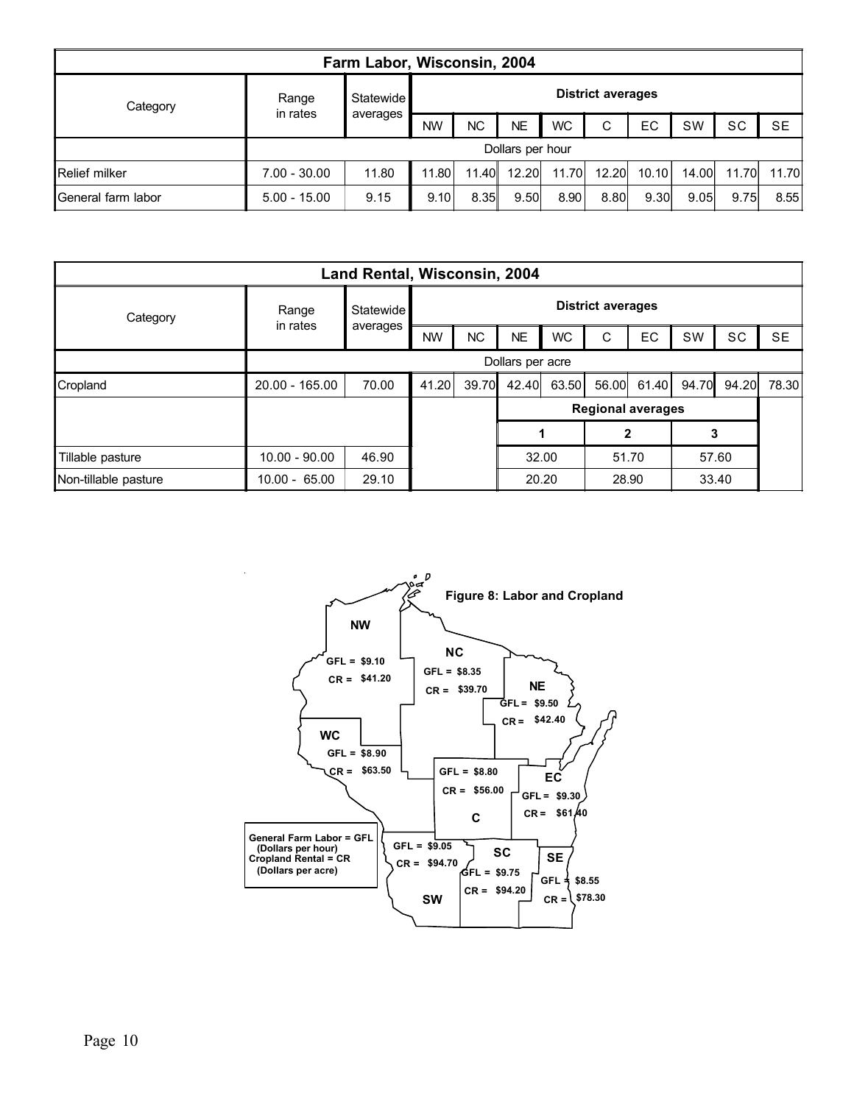| Farm Labor, Wisconsin, 2004 |                   |                  |                          |           |           |           |       |       |       |       |           |
|-----------------------------|-------------------|------------------|--------------------------|-----------|-----------|-----------|-------|-------|-------|-------|-----------|
| Category                    | Range<br>in rates | <b>Statewide</b> | <b>District averages</b> |           |           |           |       |       |       |       |           |
|                             |                   | averages         | <b>NW</b>                | <b>NC</b> | <b>NE</b> | <b>WC</b> | C     | EC    | SW    | SC    | <b>SE</b> |
|                             | Dollars per hour  |                  |                          |           |           |           |       |       |       |       |           |
| Relief milker               | $7.00 - 30.00$    | 11.80            | 11.80                    | 11.40     | 12.20     | 11.70     | 12.20 | 10.10 | 14.00 | 11.70 | 11.70     |
| ∥General farm labor         | $5.00 - 15.00$    | 9.15             | 9.10                     | 8.35      | 9.50      | 8.90      | 8.80  | 9.30  | 9.05  | 9.75  | 8.55      |

| Land Rental, Wisconsin, 2004 |                   |                  |                          |           |                          |       |       |       |           |           |           |  |
|------------------------------|-------------------|------------------|--------------------------|-----------|--------------------------|-------|-------|-------|-----------|-----------|-----------|--|
| Category                     | Range<br>in rates | <b>Statewide</b> | <b>District averages</b> |           |                          |       |       |       |           |           |           |  |
|                              |                   | averages         | <b>NW</b>                | <b>NC</b> | <b>NE</b>                | WC.   | C     | EC    | <b>SW</b> | <b>SC</b> | <b>SE</b> |  |
|                              | Dollars per acre  |                  |                          |           |                          |       |       |       |           |           |           |  |
| Cropland                     | $20.00 - 165.00$  | 70.00            | 41.20                    | 39.70     | 42.40                    | 63.50 | 56.00 | 61.40 | 94.70     | 94.20     | 78.30     |  |
|                              |                   |                  |                          |           | <b>Regional averages</b> |       |       |       |           |           |           |  |
|                              |                   |                  |                          |           | 3                        |       |       |       |           |           |           |  |
| Tillable pasture             | $10.00 - 90.00$   | 46.90            |                          |           | 32.00                    |       | 51.70 |       | 57.60     |           |           |  |
| Non-tillable pasture         | $10.00 - 65.00$   | 29.10            |                          |           | 20.20                    |       | 28.90 |       | 33.40     |           |           |  |